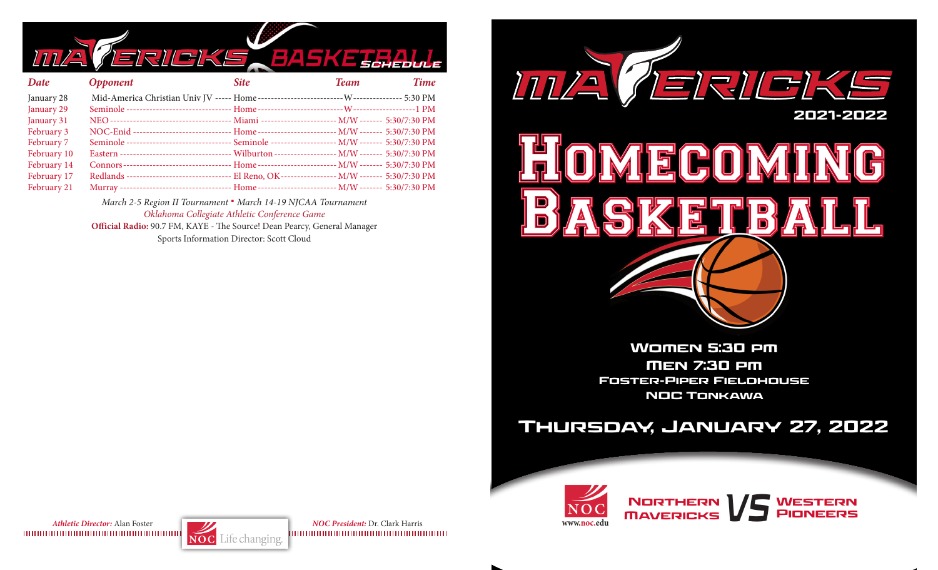

| Date        | <b>Opponent</b>                                                                                    | <b>Site</b> | Team | <b>Time</b> |
|-------------|----------------------------------------------------------------------------------------------------|-------------|------|-------------|
| January 28  |                                                                                                    |             |      |             |
| January 29  |                                                                                                    |             |      |             |
| January 31  |                                                                                                    |             |      |             |
| February 3  | NOC-Enid ------------------------------- Home ------------------------- M/W ------- 5:30/7:30 PM   |             |      |             |
| February 7  | Seminole -------------------------------- Seminole -------------------- M/W ------- 5:30/7:30 PM   |             |      |             |
| February 10 | Eastern ----------------------------------- Wilburton ------------------- M/W ------- 5:30/7:30 PM |             |      |             |
| February 14 |                                                                                                    |             |      |             |
| February 17 | Redlands -------------------------------- El Reno, OK----------------- M/W ------- 5:30/7:30 PM    |             |      |             |
| February 21 |                                                                                                    |             |      |             |

*March 2-5 Region II Tournament* **.** *March 14-19 NJCAA Tournament Oklahoma Collegiate Athletic Conference Game*

**Official Radio:** 90.7 FM, KAYE - The Source! Dean Pearcy, General Manager Sports Information Director: Scott Cloud



Women 5:30 pm Men 7:30 pm Foster-Piper Fieldhouse NOC Tonkawa

# Thursday, January 27, 2022